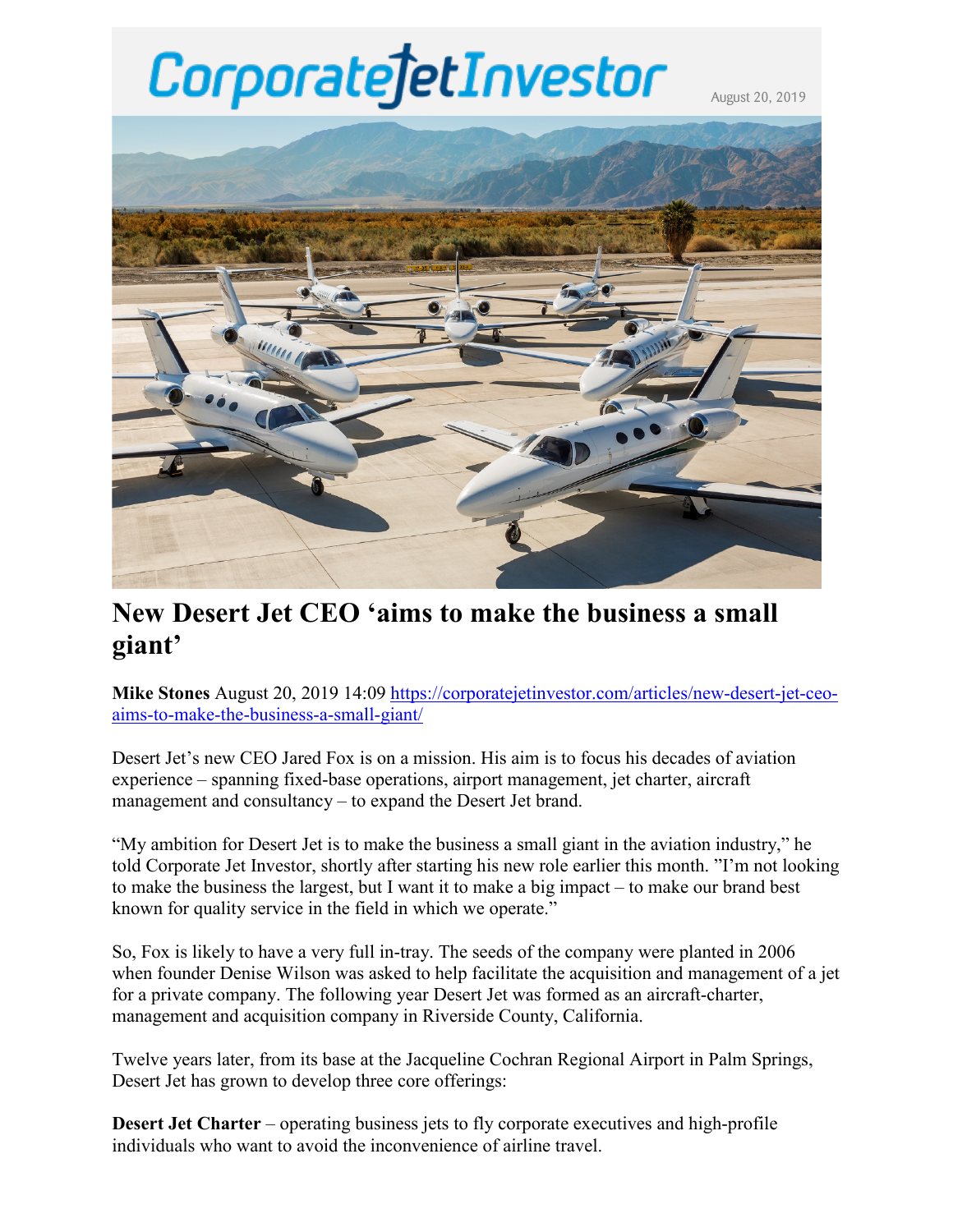# CorporatejetInvestor

August 20, 2019



# **New Desert Jet CEO 'aims to make the business a small giant'**

**Mike Stones** August 20, 2019 14:09 [https://corporatejetinvestor.com/articles/new-desert-jet-ceo](https://corporatejetinvestor.com/articles/new-desert-jet-ceo-aims-to-make-the-business-a-small-giant/)[aims-to-make-the-business-a-small-giant/](https://corporatejetinvestor.com/articles/new-desert-jet-ceo-aims-to-make-the-business-a-small-giant/)

Desert Jet's new CEO Jared Fox is on a mission. His aim is to focus his decades of aviation experience – spanning fixed-base operations, airport management, jet charter, aircraft management and consultancy – to expand the Desert Jet brand.

"My ambition for Desert Jet is to make the business a small giant in the aviation industry," he told Corporate Jet Investor, shortly after starting his new role earlier this month. "I'm not looking to make the business the largest, but I want it to make a big impact – to make our brand best known for quality service in the field in which we operate."

So, Fox is likely to have a very full in-tray. The seeds of the company were planted in 2006 when founder Denise Wilson was asked to help facilitate the acquisition and management of a jet for a private company. The following year Desert Jet was formed as an aircraft-charter, management and acquisition company in Riverside County, California.

Twelve years later, from its base at the Jacqueline Cochran Regional Airport in Palm Springs, Desert Jet has grown to develop three core offerings:

**Desert Jet Charter** – operating business jets to fly corporate executives and high-profile individuals who want to avoid the inconvenience of airline travel.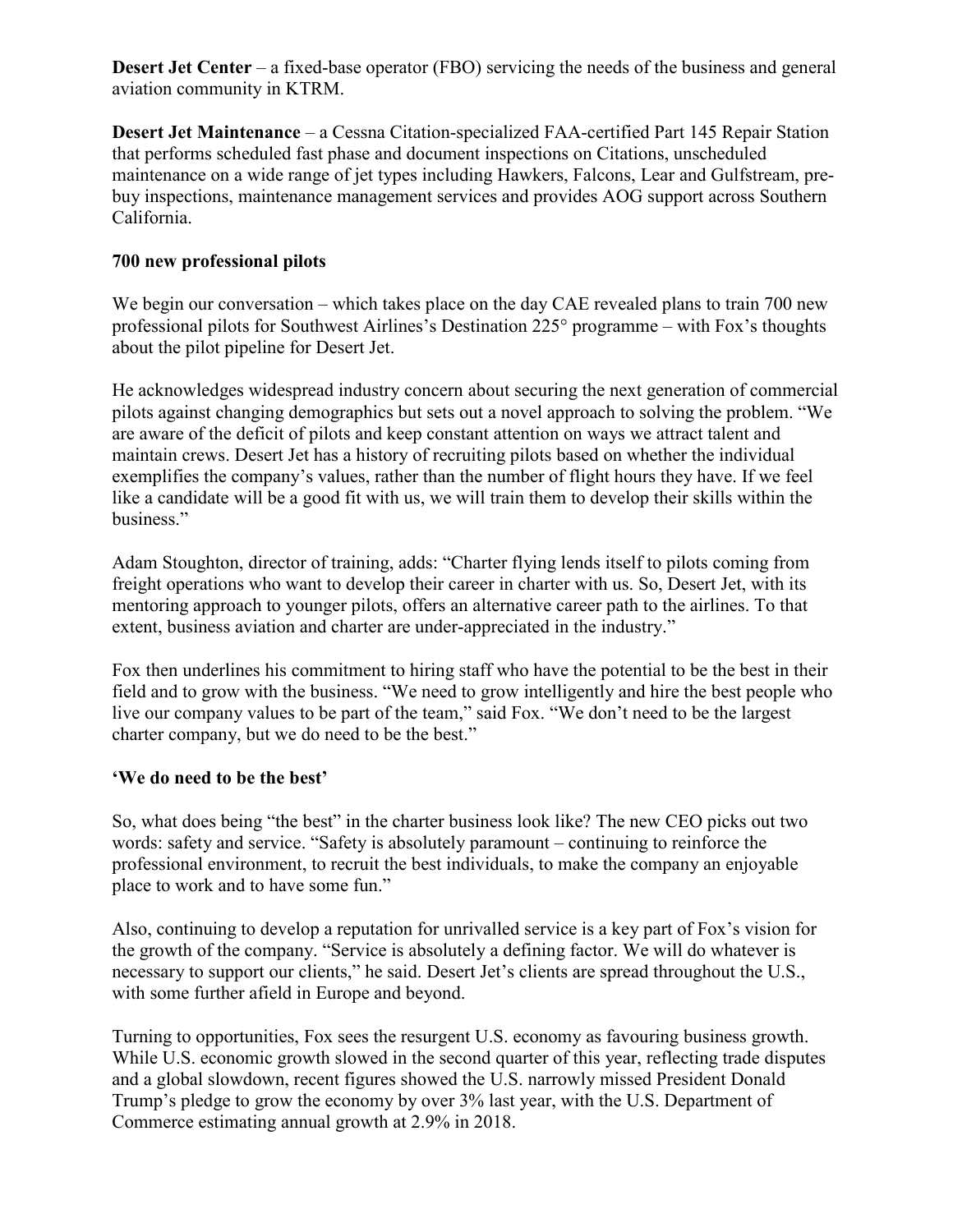**Desert Jet Center** – a fixed-base operator (FBO) servicing the needs of the business and general aviation community in KTRM.

**Desert Jet Maintenance** – a Cessna Citation-specialized FAA-certified Part 145 Repair Station that performs scheduled fast phase and document inspections on Citations, unscheduled maintenance on a wide range of jet types including Hawkers, Falcons, Lear and Gulfstream, prebuy inspections, maintenance management services and provides AOG support across Southern California.

### **700 new professional pilots**

We begin our conversation – which takes place on the day CAE revealed plans to train 700 new professional pilots for Southwest Airlines's Destination 225° programme – with Fox's thoughts about the pilot pipeline for Desert Jet.

He acknowledges widespread industry concern about securing the next generation of commercial pilots against changing demographics but sets out a novel approach to solving the problem. "We are aware of the deficit of pilots and keep constant attention on ways we attract talent and maintain crews. Desert Jet has a history of recruiting pilots based on whether the individual exemplifies the company's values, rather than the number of flight hours they have. If we feel like a candidate will be a good fit with us, we will train them to develop their skills within the business."

Adam Stoughton, director of training, adds: "Charter flying lends itself to pilots coming from freight operations who want to develop their career in charter with us. So, Desert Jet, with its mentoring approach to younger pilots, offers an alternative career path to the airlines. To that extent, business aviation and charter are under-appreciated in the industry."

Fox then underlines his commitment to hiring staff who have the potential to be the best in their field and to grow with the business. "We need to grow intelligently and hire the best people who live our company values to be part of the team," said Fox. "We don't need to be the largest charter company, but we do need to be the best."

#### **'We do need to be the best'**

So, what does being "the best" in the charter business look like? The new CEO picks out two words: safety and service. "Safety is absolutely paramount – continuing to reinforce the professional environment, to recruit the best individuals, to make the company an enjoyable place to work and to have some fun."

Also, continuing to develop a reputation for unrivalled service is a key part of Fox's vision for the growth of the company. "Service is absolutely a defining factor. We will do whatever is necessary to support our clients," he said. Desert Jet's clients are spread throughout the U.S., with some further afield in Europe and beyond.

Turning to opportunities, Fox sees the resurgent U.S. economy as favouring business growth. While U.S. economic growth slowed in the second quarter of this year, reflecting trade disputes and a global slowdown, recent figures showed the U.S. narrowly missed President Donald Trump's pledge to grow the economy by over 3% last year, with the U.S. Department of Commerce estimating annual growth at 2.9% in 2018.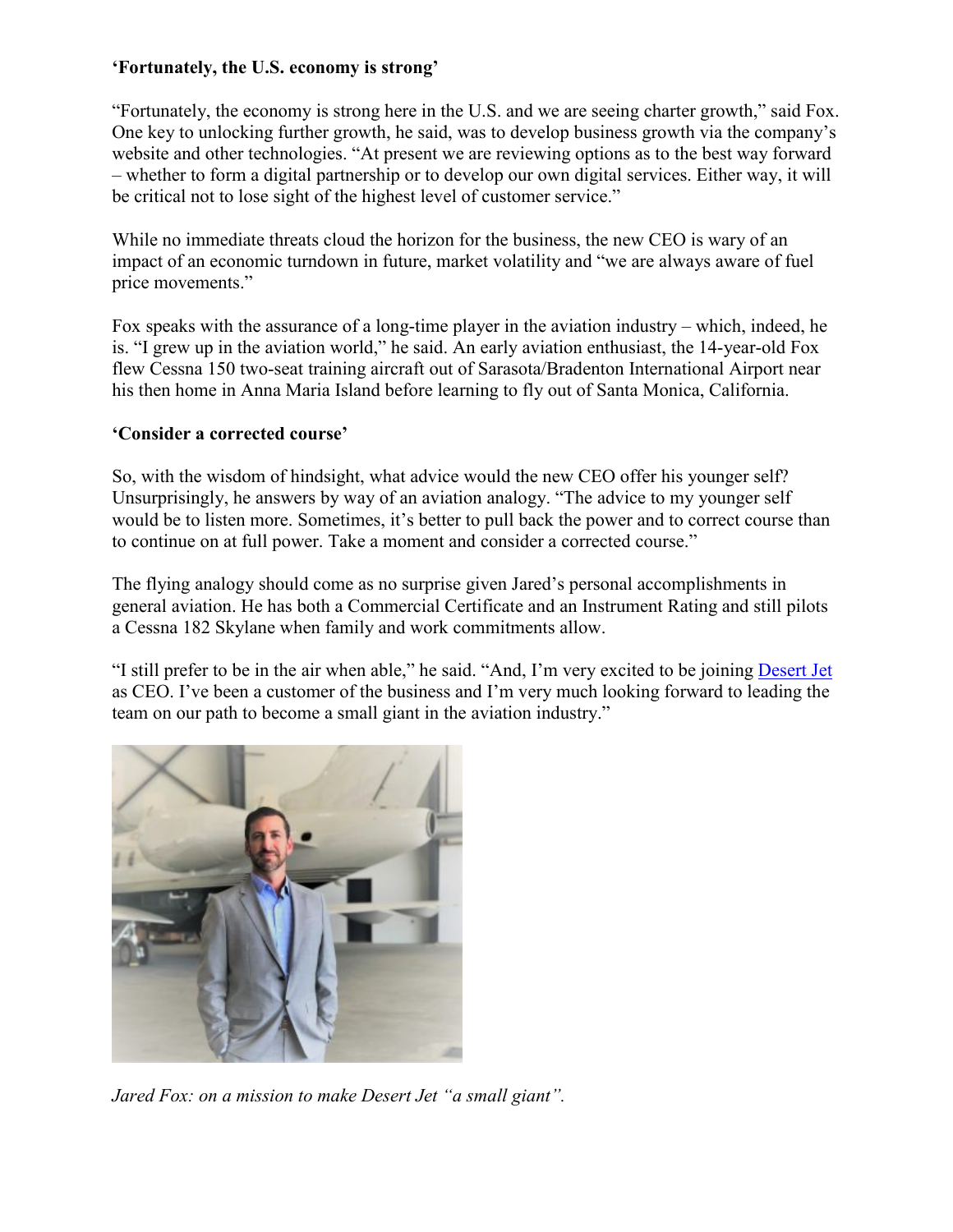# **'Fortunately, the U.S. economy is strong'**

"Fortunately, the economy is strong here in the U.S. and we are seeing charter growth," said Fox. One key to unlocking further growth, he said, was to develop business growth via the company's website and other technologies. "At present we are reviewing options as to the best way forward – whether to form a digital partnership or to develop our own digital services. Either way, it will be critical not to lose sight of the highest level of customer service."

While no immediate threats cloud the horizon for the business, the new CEO is wary of an impact of an economic turndown in future, market volatility and "we are always aware of fuel price movements."

Fox speaks with the assurance of a long-time player in the aviation industry – which, indeed, he is. "I grew up in the aviation world," he said. An early aviation enthusiast, the 14-year-old Fox flew Cessna 150 two-seat training aircraft out of Sarasota/Bradenton International Airport near his then home in Anna Maria Island before learning to fly out of Santa Monica, California.

# **'Consider a corrected course'**

So, with the wisdom of hindsight, what advice would the new CEO offer his younger self? Unsurprisingly, he answers by way of an aviation analogy. "The advice to my younger self would be to listen more. Sometimes, it's better to pull back the power and to correct course than to continue on at full power. Take a moment and consider a corrected course."

The flying analogy should come as no surprise given Jared's personal accomplishments in general aviation. He has both a Commercial Certificate and an Instrument Rating and still pilots a Cessna 182 Skylane when family and work commitments allow.

"I still prefer to be in the air when able," he said. "And, I'm very excited to be joining [Desert Jet](https://www.desertjet.com/) as CEO. I've been a customer of the business and I'm very much looking forward to leading the team on our path to become a small giant in the aviation industry."



*Jared Fox: on a mission to make Desert Jet "a small giant".*